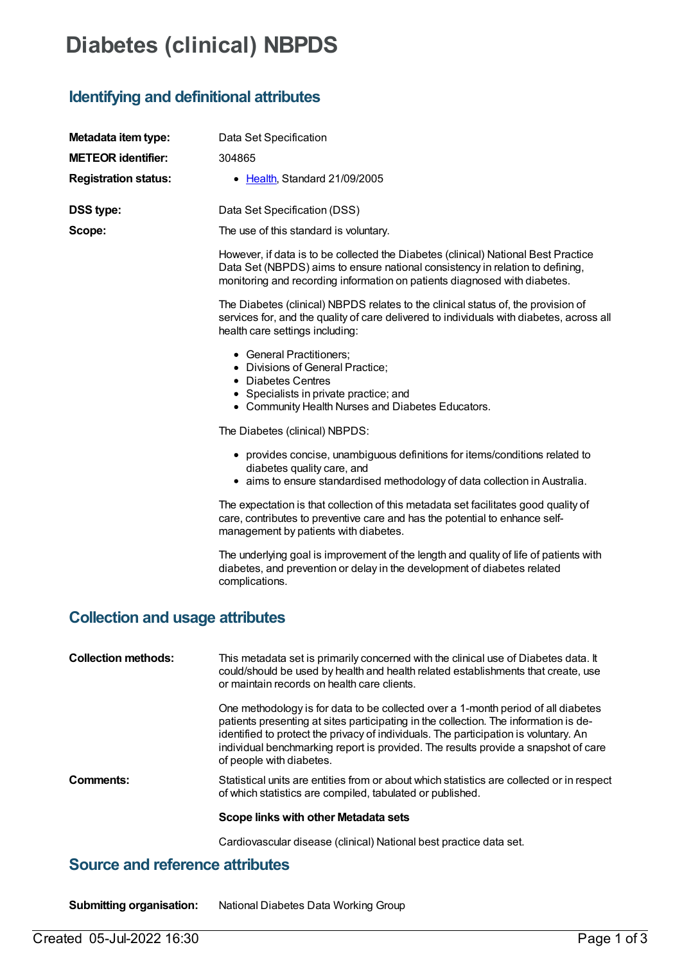# **Diabetes (clinical) NBPDS**

## **Identifying and definitional attributes**

| Metadata item type:                    | Data Set Specification                                                                                                                                                                                                                                                                                                                                                              |  |  |  |  |
|----------------------------------------|-------------------------------------------------------------------------------------------------------------------------------------------------------------------------------------------------------------------------------------------------------------------------------------------------------------------------------------------------------------------------------------|--|--|--|--|
| <b>METEOR identifier:</b>              | 304865                                                                                                                                                                                                                                                                                                                                                                              |  |  |  |  |
| <b>Registration status:</b>            | • Health, Standard 21/09/2005                                                                                                                                                                                                                                                                                                                                                       |  |  |  |  |
| <b>DSS type:</b>                       | Data Set Specification (DSS)                                                                                                                                                                                                                                                                                                                                                        |  |  |  |  |
| Scope:                                 | The use of this standard is voluntary.                                                                                                                                                                                                                                                                                                                                              |  |  |  |  |
|                                        | However, if data is to be collected the Diabetes (clinical) National Best Practice<br>Data Set (NBPDS) aims to ensure national consistency in relation to defining,<br>monitoring and recording information on patients diagnosed with diabetes.                                                                                                                                    |  |  |  |  |
|                                        | The Diabetes (clinical) NBPDS relates to the clinical status of, the provision of<br>services for, and the quality of care delivered to individuals with diabetes, across all<br>health care settings including:                                                                                                                                                                    |  |  |  |  |
|                                        | • General Practitioners;<br>• Divisions of General Practice;<br>• Diabetes Centres                                                                                                                                                                                                                                                                                                  |  |  |  |  |
|                                        | • Specialists in private practice; and<br>• Community Health Nurses and Diabetes Educators.                                                                                                                                                                                                                                                                                         |  |  |  |  |
|                                        | The Diabetes (clinical) NBPDS:                                                                                                                                                                                                                                                                                                                                                      |  |  |  |  |
|                                        | • provides concise, unambiguous definitions for items/conditions related to<br>diabetes quality care, and<br>• aims to ensure standardised methodology of data collection in Australia.                                                                                                                                                                                             |  |  |  |  |
|                                        | The expectation is that collection of this metadata set facilitates good quality of<br>care, contributes to preventive care and has the potential to enhance self-<br>management by patients with diabetes.                                                                                                                                                                         |  |  |  |  |
|                                        | The underlying goal is improvement of the length and quality of life of patients with<br>diabetes, and prevention or delay in the development of diabetes related<br>complications.                                                                                                                                                                                                 |  |  |  |  |
| <b>Collection and usage attributes</b> |                                                                                                                                                                                                                                                                                                                                                                                     |  |  |  |  |
| <b>Collection methods:</b>             | This metadata set is primarily concerned with the clinical use of Diabetes data. It<br>could/should be used by health and health related establishments that create, use<br>or maintain records on health care clients.                                                                                                                                                             |  |  |  |  |
|                                        | One methodology is for data to be collected over a 1-month period of all diabetes<br>patients presenting at sites participating in the collection. The information is de-<br>identified to protect the privacy of individuals. The participation is voluntary. An<br>individual benchmarking report is provided. The results provide a snapshot of care<br>of people with diabetes. |  |  |  |  |
| Comments:                              | Statistical units are entities from or about which statistics are collected or in respect<br>of which statistics are compiled, tabulated or published.                                                                                                                                                                                                                              |  |  |  |  |
|                                        | Scope links with other Metadata sets                                                                                                                                                                                                                                                                                                                                                |  |  |  |  |
|                                        | Cardiovascular disease (clinical) National best practice data set.                                                                                                                                                                                                                                                                                                                  |  |  |  |  |

#### **Source and reference attributes**

**Submitting organisation:** National Diabetes Data Working Group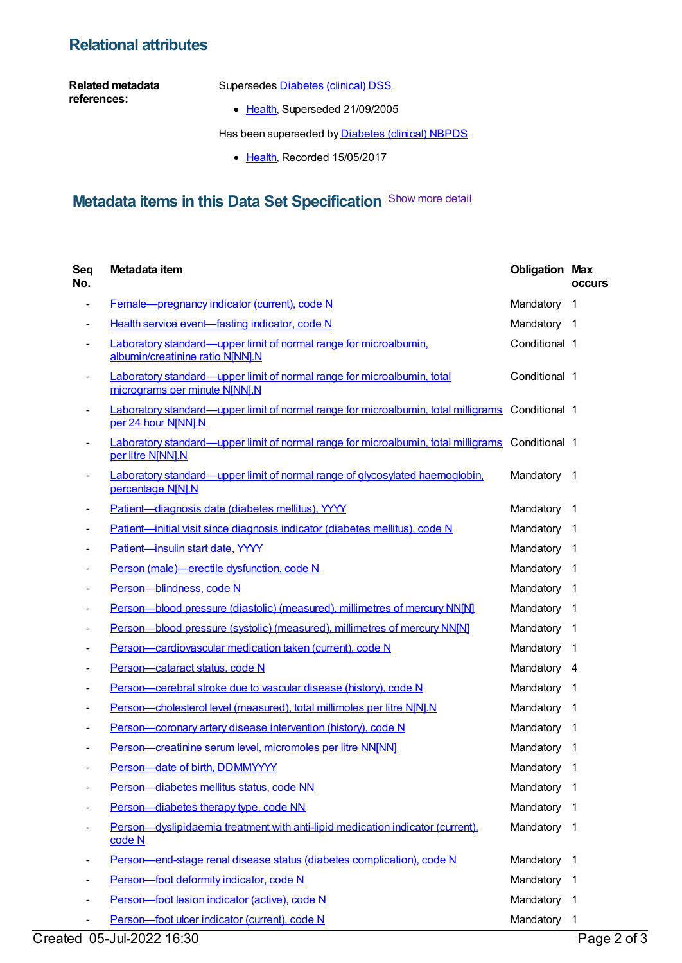### **Relational attributes**

**Related metadata references:**

Supersedes **[Diabetes](https://meteor.aihw.gov.au/content/273054)** (clinical) DSS

• [Health](https://meteor.aihw.gov.au/RegistrationAuthority/12), Superseded 21/09/2005

Has been superseded by **[Diabetes](https://meteor.aihw.gov.au/content/621784) (clinical) NBPDS** 

• [Health](https://meteor.aihw.gov.au/RegistrationAuthority/12), Recorded 15/05/2017

## **Metadata items in this Data Set Specification** Show more detail

| Seq<br>No.               | Metadata item                                                                                                           | <b>Obligation Max</b> | <b>occurs</b>           |
|--------------------------|-------------------------------------------------------------------------------------------------------------------------|-----------------------|-------------------------|
|                          | Female-pregnancy indicator (current), code N                                                                            | Mandatory             | $\mathbf{1}$            |
|                          | Health service event-fasting indicator, code N                                                                          | Mandatory 1           |                         |
|                          | <b>Laboratory standard—upper limit of normal range for microalbumin.</b><br>albumin/creatinine ratio N[NN].N            | Conditional 1         |                         |
| $\overline{\phantom{a}}$ | Laboratory standard—upper limit of normal range for microalbumin, total<br>micrograms per minute N[NN].N                | Conditional 1         |                         |
|                          | Laboratory standard—upper limit of normal range for microalbumin, total milligrams Conditional 1<br>per 24 hour N[NN].N |                       |                         |
|                          | Laboratory standard—upper limit of normal range for microalbumin, total milligrams Conditional 1<br>per litre N[NN].N   |                       |                         |
|                          | Laboratory standard—upper limit of normal range of glycosylated haemoglobin,<br>percentage N[N].N                       | Mandatory             | $\overline{1}$          |
|                          | Patient-diagnosis date (diabetes mellitus), YYYY                                                                        | Mandatory             | $\overline{\mathbf{1}}$ |
|                          | Patient-initial visit since diagnosis indicator (diabetes mellitus), code N                                             | Mandatory             | $\overline{1}$          |
|                          | Patient-insulin start date, YYYY                                                                                        | Mandatory             | $\overline{1}$          |
|                          | Person (male)-erectile dysfunction, code N                                                                              | Mandatory             | -1                      |
|                          | Person-blindness, code N                                                                                                | Mandatory             | -1                      |
|                          | Person-blood pressure (diastolic) (measured), millimetres of mercury NN[N]                                              | Mandatory             | -1                      |
|                          | Person-blood pressure (systolic) (measured), millimetres of mercury NN[N]                                               | Mandatory             | -1                      |
|                          | Person-cardiovascular medication taken (current), code N                                                                | Mandatory             | -1                      |
|                          | Person-cataract status, code N                                                                                          | Mandatory 4           |                         |
|                          | Person-cerebral stroke due to vascular disease (history), code N                                                        | Mandatory             | -1                      |
|                          | Person-cholesterol level (measured), total millimoles per litre N[N].N                                                  | Mandatory             | $\overline{1}$          |
|                          | Person-coronary artery disease intervention (history), code N                                                           | Mandatory             | $\overline{\mathbf{1}}$ |
|                          | Person-creatinine serum level, micromoles per litre NN[NN]                                                              | Mandatory             | -1                      |
|                          | Person-date of birth, DDMMYYYY                                                                                          | Mandatory             | 1                       |
| -                        | Person-diabetes mellitus status, code NN                                                                                | Mandatory             | 1                       |
|                          | Person-diabetes therapy type, code NN                                                                                   | Mandatory             | 1                       |
|                          | Person—dyslipidaemia treatment with anti-lipid medication indicator (current),<br>code N                                | Mandatory             | -1                      |
|                          | Person-end-stage renal disease status (diabetes complication), code N                                                   | Mandatory             | -1                      |
|                          | Person-foot deformity indicator, code N                                                                                 | Mandatory             | $\mathbf{1}$            |
|                          | Person-foot lesion indicator (active), code N                                                                           | Mandatory             | -1                      |
| ۰                        | Person-foot ulcer indicator (current), code N                                                                           | Mandatory             | $\overline{1}$          |